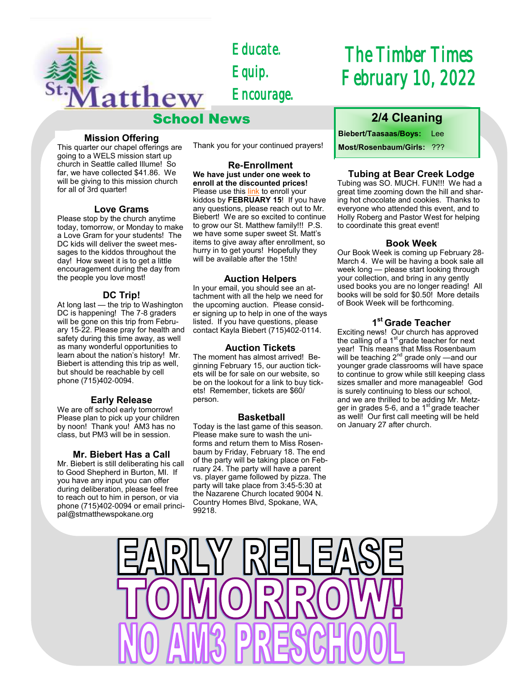

*Educate. Equip. Encourage.* 

#### **Mission Offering**

This quarter our chapel offerings are going to a WELS mission start up church in Seattle called Illume! So far, we have collected \$41.86. We will be giving to this mission church for all of 3rd quarter!

#### **Love Grams**

Please stop by the church anytime today, tomorrow, or Monday to make a Love Gram for your students! The DC kids will deliver the sweet messages to the kiddos throughout the day! How sweet it is to get a little encouragement during the day from the people you love most!

#### **DC Trip!**

At long last — the trip to Washington DC is happening! The 7-8 graders will be gone on this trip from February 15-22. Please pray for health and safety during this time away, as well as many wonderful opportunities to learn about the nation's history! Mr. Biebert is attending this trip as well, but should be reachable by cell phone (715)402-0094.

#### **Early Release**

We are off school early tomorrow! Please plan to pick up your children by noon! Thank you! AM3 has no class, but PM3 will be in session.

#### **Mr. Biebert Has a Call**

Mr. Biebert is still deliberating his call to Good Shepherd in Burton, MI. If you have any input you can offer during deliberation, please feel free to reach out to him in person, or via phone (715)402-0094 or email principal@stmatthewspokane.org

Thank you for your continued prayers!

**Re-Enrollment We have just under one week to enroll at the discounted prices!**  Please use this [link](https://secure.tads.com/Accounts/Login.aspx?SetupCode=EEBNG-S38) to enroll your kiddos by **FEBRUARY 15**! If you have any questions, please reach out to Mr. Biebert! We are so excited to continue to grow our St. Matthew family!!! P.S. we have some super sweet St. Matt's items to give away after enrollment, so hurry in to get yours! Hopefully they will be available after the 15th!

#### **Auction Helpers**

In your email, you should see an attachment with all the help we need for the upcoming auction. Please consider signing up to help in one of the ways listed. If you have questions, please contact Kayla Biebert (715)402-0114.

#### **Auction Tickets**

The moment has almost arrived! Beginning February 15, our auction tickets will be for sale on our website, so be on the lookout for a link to buy tickets! Remember, tickets are \$60/ person.

#### **Basketball**

Today is the last game of this season. Please make sure to wash the uniforms and return them to Miss Rosenbaum by Friday, February 18. The end of the party will be taking place on February 24. The party will have a parent vs. player game followed by pizza. The party will take place from 3:45-5:30 at the Nazarene Church located 9004 N. Country Homes Blvd, Spokane, WA, 99218.

# *The Timber Times February 10, 2022*

### **2/4 Cleaning**

**Biebert/Taasaas/Boys:** Lee

**Most/Rosenbaum/Girls:** ???

#### **Tubing at Bear Creek Lodge**

Tubing was SO. MUCH. FUN!!! We had a great time zooming down the hill and sharing hot chocolate and cookies. Thanks to everyone who attended this event, and to Holly Roberg and Pastor West for helping to coordinate this great event!

#### **Book Week**

Our Book Week is coming up February 28- March 4. We will be having a book sale all week long — please start looking through your collection, and bring in any gently used books you are no longer reading! All books will be sold for \$0.50! More details of Book Week will be forthcoming.

### **1 st Grade Teacher**

Exciting news! Our church has approved the calling of a 1<sup>st</sup> grade teacher for next year! This means that Miss Rosenbaum will be teaching  $2^{nd}$  grade only —and our younger grade classrooms will have space to continue to grow while still keeping class sizes smaller and more manageable! God is surely continuing to bless our school, and we are thrilled to be adding Mr. Metzger in grades 5-6, and a 1<sup>st</sup> grade teacher as well! Our first call meeting will be held on January 27 after church.

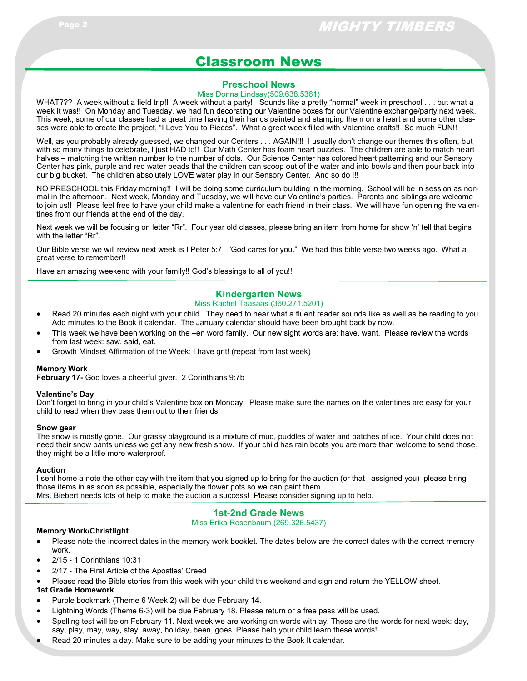## Classroom News

#### **Preschool News**

#### Miss Donna Lindsay(509.638.5361)

WHAT??? A week without a field trip!! A week without a party!! Sounds like a pretty "normal" week in preschool . . . but what a week it was!! On Monday and Tuesday, we had fun decorating our Valentine boxes for our Valentine exchange/party next week. This week, some of our classes had a great time having their hands painted and stamping them on a heart and some other classes were able to create the project, "I Love You to Pieces". What a great week filled with Valentine crafts!! So much FUN!!

Well, as you probably already guessed, we changed our Centers . . . AGAIN!!! I usually don't change our themes this often, but with so many things to celebrate, I just HAD to!! Our Math Center has foam heart puzzles. The children are able to match heart halves – matching the written number to the number of dots. Our Science Center has colored heart patterning and our Sensory Center has pink, purple and red water beads that the children can scoop out of the water and into bowls and then pour back into our big bucket. The children absolutely LOVE water play in our Sensory Center. And so do I!!

NO PRESCHOOL this Friday morning!! I will be doing some curriculum building in the morning. School will be in session as normal in the afternoon. Next week, Monday and Tuesday, we will have our Valentine's parties. Parents and siblings are welcome to join us!! Please feel free to have your child make a valentine for each friend in their class. We will have fun opening the valentines from our friends at the end of the day.

Next week we will be focusing on letter "Rr". Four year old classes, please bring an item from home for show 'n' tell that begins with the letter "Rr".

Our Bible verse we will review next week is I Peter 5:7 "God cares for you." We had this bible verse two weeks ago. What a great verse to remember!!

Have an amazing weekend with your family!! God's blessings to all of you!!

#### **Kindergarten News**

#### Miss Rachel Taasaas (360.271.5201)

- Read 20 minutes each night with your child. They need to hear what a fluent reader sounds like as well as be reading to you. Add minutes to the Book it calendar. The January calendar should have been brought back by now.
- This week we have been working on the –en word family. Our new sight words are: have, want. Please review the words from last week: saw, said, eat.
- Growth Mindset Affirmation of the Week: I have grit! (repeat from last week)

#### **Memory Work**

**February 17-** God loves a cheerful giver. 2 Corinthians 9:7b

#### **Valentine's Day**

Don't forget to bring in your child's Valentine box on Monday. Please make sure the names on the valentines are easy for your child to read when they pass them out to their friends.

#### **Snow gear**

The snow is mostly gone. Our grassy playground is a mixture of mud, puddles of water and patches of ice. Your child does not need their snow pants unless we get any new fresh snow. If your child has rain boots you are more than welcome to send those, they might be a little more waterproof.

#### **Auction**

I sent home a note the other day with the item that you signed up to bring for the auction (or that I assigned you) please bring those items in as soon as possible, especially the flower pots so we can paint them. Mrs. Biebert needs lots of help to make the auction a success! Please consider signing up to help.

#### **1st-2nd Grade News**

Miss Erika Rosenbaum (269.326.5437)

#### **Memory Work/Christlight**

- Please note the incorrect dates in the memory work booklet. The dates below are the correct dates with the correct memory work.
- 2/15 1 Corinthians 10:31
- 2/17 The First Article of the Apostles' Creed
- Please read the Bible stories from this week with your child this weekend and sign and return the YELLOW sheet.

#### **1st Grade Homework**

- Purple bookmark (Theme 6 Week 2) will be due February 14.
- Lightning Words (Theme 6-3) will be due February 18. Please return or a free pass will be used.
- Spelling test will be on February 11. Next week we are working on words with ay. These are the words for next week: day, say, play, may, way, stay, away, holiday, been, goes. Please help your child learn these words!
- Read 20 minutes a day. Make sure to be adding your minutes to the Book It calendar.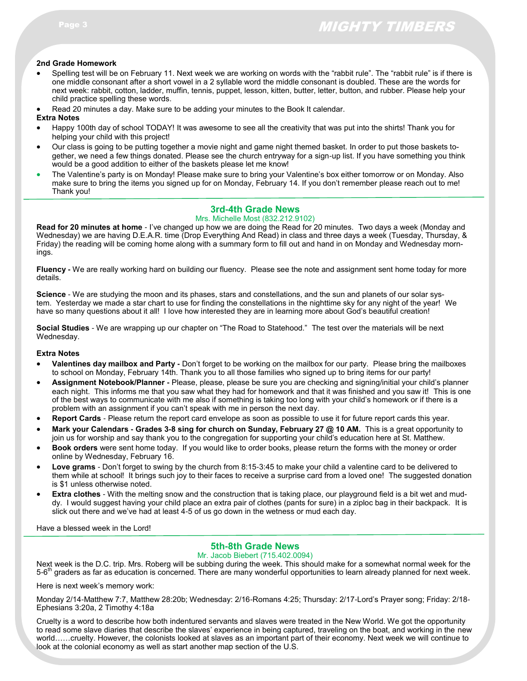#### **2nd Grade Homework**

- Spelling test will be on February 11. Next week we are working on words with the "rabbit rule". The "rabbit rule" is if there is one middle consonant after a short vowel in a 2 syllable word the middle consonant is doubled. These are the words for next week: rabbit, cotton, ladder, muffin, tennis, puppet, lesson, kitten, butter, letter, button, and rubber. Please help your child practice spelling these words.
- Read 20 minutes a day. Make sure to be adding your minutes to the Book It calendar.

#### **Extra Notes**

- Happy 100th day of school TODAY! It was awesome to see all the creativity that was put into the shirts! Thank you for helping your child with this project!
- Our class is going to be putting together a movie night and game night themed basket. In order to put those baskets together, we need a few things donated. Please see the church entryway for a sign-up list. If you have something you think would be a good addition to either of the baskets please let me know!
- The Valentine's party is on Monday! Please make sure to bring your Valentine's box either tomorrow or on Monday. Also make sure to bring the items you signed up for on Monday, February 14. If you don't remember please reach out to me! Thank you!

#### **3rd-4th Grade News**

#### Mrs. Michelle Most (832.212.9102)

**Read for 20 minutes at home** - I've changed up how we are doing the Read for 20 minutes. Two days a week (Monday and Wednesday) we are having D.E.A.R. time (Drop Everything And Read) in class and three days a week (Tuesday, Thursday, & Friday) the reading will be coming home along with a summary form to fill out and hand in on Monday and Wednesday mornings.

**Fluency -** We are really working hard on building our fluency. Please see the note and assignment sent home today for more details.

**Science** - We are studying the moon and its phases, stars and constellations, and the sun and planets of our solar system. Yesterday we made a star chart to use for finding the constellations in the nighttime sky for any night of the year! We have so many questions about it all! I love how interested they are in learning more about God's beautiful creation!

**Social Studies** - We are wrapping up our chapter on "The Road to Statehood." The test over the materials will be next Wednesday.

#### **Extra Notes**

- **Valentines day mailbox and Party -** Don't forget to be working on the mailbox for our party. Please bring the mailboxes to school on Monday, February 14th. Thank you to all those families who signed up to bring items for our party!
- **Assignment Notebook/Planner -** Please, please, please be sure you are checking and signing/initial your child's planner each night. This informs me that you saw what they had for homework and that it was finished and you saw it! This is one of the best ways to communicate with me also if something is taking too long with your child's homework or if there is a problem with an assignment if you can't speak with me in person the next day.
- **Report Cards** Please return the report card envelope as soon as possible to use it for future report cards this year.
- **Mark your Calendars - Grades 3-8 sing for church on Sunday, February 27 @ 10 AM.** This is a great opportunity to join us for worship and say thank you to the congregation for supporting your child's education here at St. Matthew.
- **Book orders** were sent home today. If you would like to order books, please return the forms with the money or order online by Wednesday, February 16.
- **Love grams** Don't forget to swing by the church from 8:15-3:45 to make your child a valentine card to be delivered to them while at school! It brings such joy to their faces to receive a surprise card from a loved one! The suggested donation is \$1 unless otherwise noted.
- **Extra clothes** With the melting snow and the construction that is taking place, our playground field is a bit wet and muddy. I would suggest having your child place an extra pair of clothes (pants for sure) in a ziploc bag in their backpack. It is slick out there and we've had at least 4-5 of us go down in the wetness or mud each day.

Have a blessed week in the Lord!

#### **5th-8th Grade News**

#### Mr. Jacob Biebert (715.402.0094)

Next week is the D.C. trip. Mrs. Roberg will be subbing during the week. This should make for a somewhat normal week for the 5-6<sup>th</sup> graders as far as education is concerned. There are many wonderful opportunities to learn already planned for next week.

Here is next week's memory work:

Monday 2/14-Matthew 7:7, Matthew 28:20b; Wednesday: 2/16-Romans 4:25; Thursday: 2/17-Lord's Prayer song; Friday: 2/18- Ephesians 3:20a, 2 Timothy 4:18a

Cruelty is a word to describe how both indentured servants and slaves were treated in the New World. We got the opportunity to read some slave diaries that describe the slaves' experience in being captured, traveling on the boat, and working in the new world……cruelty. However, the colonists looked at slaves as an important part of their economy. Next week we will continue to look at the colonial economy as well as start another map section of the U.S.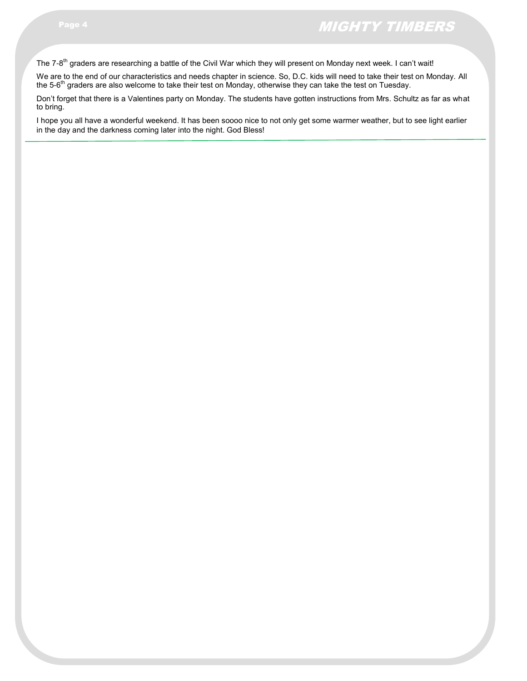The 7-8<sup>th</sup> graders are researching a battle of the Civil War which they will present on Monday next week. I can't wait!

We are to the end of our characteristics and needs chapter in science. So, D.C. kids will need to take their test on Monday. All the 5-6 $^{\rm th}$  graders are also welcome to take their test on Monday, otherwise they can take the test on Tuesday.

Don't forget that there is a Valentines party on Monday. The students have gotten instructions from Mrs. Schultz as far as what to bring.

I hope you all have a wonderful weekend. It has been soooo nice to not only get some warmer weather, but to see light earlier in the day and the darkness coming later into the night. God Bless!